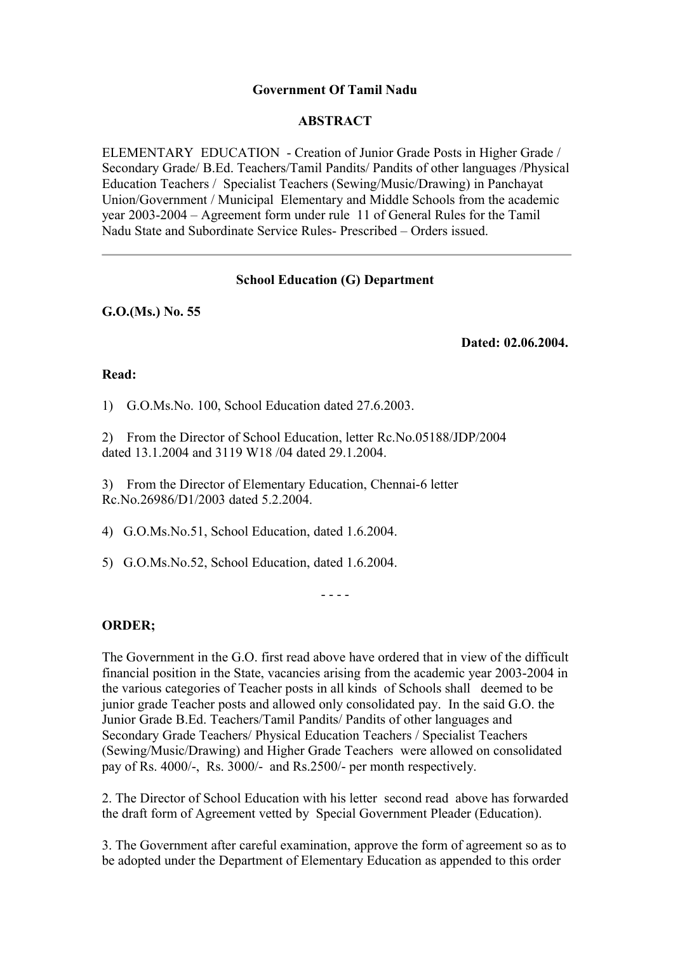## **Government Of Tamil Nadu**

## **ABSTRACT**

ELEMENTARY EDUCATION - Creation of Junior Grade Posts in Higher Grade / Secondary Grade/ B.Ed. Teachers/Tamil Pandits/ Pandits of other languages /Physical Education Teachers / Specialist Teachers (Sewing/Music/Drawing) in Panchayat Union/Government / Municipal Elementary and Middle Schools from the academic year 2003-2004 – Agreement form under rule 11 of General Rules for the Tamil Nadu State and Subordinate Service Rules- Prescribed – Orders issued.

## **School Education (G) Department**

**G.O.(Ms.) No. 55**

**Dated: 02.06.2004.** 

## **Read:**

1) G.O.Ms.No. 100, School Education dated 27.6.2003.

2) From the Director of School Education, letter Rc.No.05188/JDP/2004 dated 13.1.2004 and 3119 W18 /04 dated 29.1.2004.

3) From the Director of Elementary Education, Chennai-6 letter Rc.No.26986/D1/2003 dated 5.2.2004.

4) G.O.Ms.No.51, School Education, dated 1.6.2004.

5) G.O.Ms.No.52, School Education, dated 1.6.2004.

- - - -

# **ORDER;**

The Government in the G.O. first read above have ordered that in view of the difficult financial position in the State, vacancies arising from the academic year 2003-2004 in the various categories of Teacher posts in all kinds of Schools shall deemed to be junior grade Teacher posts and allowed only consolidated pay. In the said G.O. the Junior Grade B.Ed. Teachers/Tamil Pandits/ Pandits of other languages and Secondary Grade Teachers/ Physical Education Teachers / Specialist Teachers (Sewing/Music/Drawing) and Higher Grade Teachers were allowed on consolidated pay of Rs. 4000/-, Rs. 3000/- and Rs.2500/- per month respectively.

2. The Director of School Education with his letter second read above has forwarded the draft form of Agreement vetted by Special Government Pleader (Education).

3. The Government after careful examination, approve the form of agreement so as to be adopted under the Department of Elementary Education as appended to this order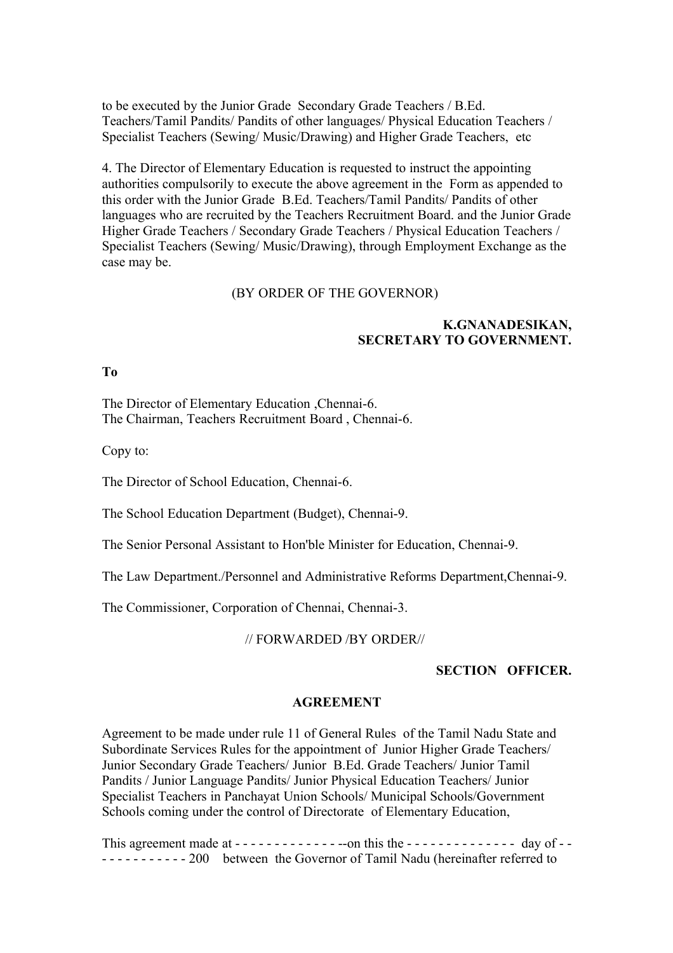to be executed by the Junior Grade Secondary Grade Teachers / B.Ed. Teachers/Tamil Pandits/ Pandits of other languages/ Physical Education Teachers / Specialist Teachers (Sewing/ Music/Drawing) and Higher Grade Teachers, etc

4. The Director of Elementary Education is requested to instruct the appointing authorities compulsorily to execute the above agreement in the Form as appended to this order with the Junior Grade B.Ed. Teachers/Tamil Pandits/ Pandits of other languages who are recruited by the Teachers Recruitment Board. and the Junior Grade Higher Grade Teachers / Secondary Grade Teachers / Physical Education Teachers / Specialist Teachers (Sewing/ Music/Drawing), through Employment Exchange as the case may be.

## (BY ORDER OF THE GOVERNOR)

## **K.GNANADESIKAN, SECRETARY TO GOVERNMENT.**

**To** 

The Director of Elementary Education ,Chennai-6. The Chairman, Teachers Recruitment Board , Chennai-6.

Copy to:

The Director of School Education, Chennai-6.

The School Education Department (Budget), Chennai-9.

The Senior Personal Assistant to Hon'ble Minister for Education, Chennai-9.

The Law Department./Personnel and Administrative Reforms Department,Chennai-9.

The Commissioner, Corporation of Chennai, Chennai-3.

#### // FORWARDED /BY ORDER//

## **SECTION OFFICER.**

#### **AGREEMENT**

Agreement to be made under rule 11 of General Rules of the Tamil Nadu State and Subordinate Services Rules for the appointment of Junior Higher Grade Teachers/ Junior Secondary Grade Teachers/ Junior B.Ed. Grade Teachers/ Junior Tamil Pandits / Junior Language Pandits/ Junior Physical Education Teachers/ Junior Specialist Teachers in Panchayat Union Schools/ Municipal Schools/Government Schools coming under the control of Directorate of Elementary Education,

This agreement made at - - - - - - - - - - - - - --on this the - - - - - - - - - - - - - - day of - - - - - - - - - - - - - 200 between the Governor of Tamil Nadu (hereinafter referred to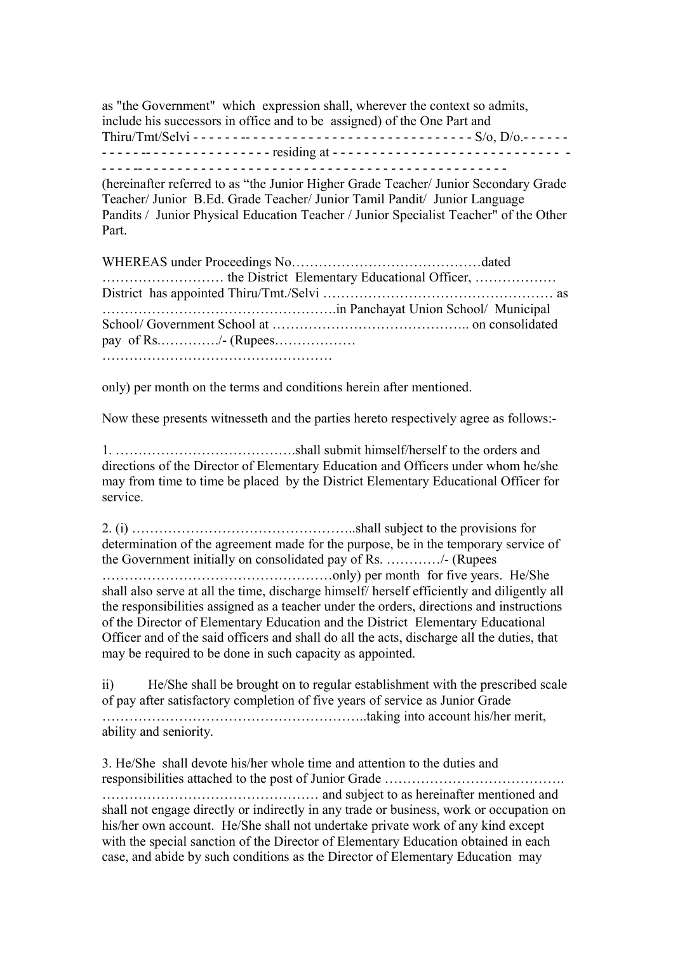as "the Government" which expression shall, wherever the context so admits, include his successors in office and to be assigned) of the One Part and Thiru/Tmt/Selvi - - - - - - -- - - - - - - - - - - - - - - - - - - - - - - - - - - - - S/o, D/o.- - - - - - - - - - - -- - - - - - - - - - - - - - - - residing at - - - - - - - - - - - - - - - - - - - - - - - - - - - - - -

- - - - -- - - - - - - - - - - - - - - - - - - - - - - - - - - - - - - - - - - - - - - - - - - - - - -

(hereinafter referred to as "the Junior Higher Grade Teacher/ Junior Secondary Grade Teacher/ Junior B.Ed. Grade Teacher/ Junior Tamil Pandit/ Junior Language Pandits / Junior Physical Education Teacher / Junior Specialist Teacher" of the Other Part.

WHEREAS under Proceedings No……………………………………dated ……………………… the District Elementary Educational Officer, ……………… District has appointed Thiru/Tmt./Selvi …………………………………………… as …………………………………………….in Panchayat Union School/ Municipal School/ Government School at …………………………………….. on consolidated pay of Rs.…………./- (Rupees……………… ……………………………………………

only) per month on the terms and conditions herein after mentioned.

Now these presents witnesseth and the parties hereto respectively agree as follows:-

1. ………………………………….shall submit himself/herself to the orders and directions of the Director of Elementary Education and Officers under whom he/she may from time to time be placed by the District Elementary Educational Officer for service.

2. (i) …………………………………………..shall subject to the provisions for determination of the agreement made for the purpose, be in the temporary service of the Government initially on consolidated pay of Rs. …………/- (Rupees ……………………………………………only) per month for five years. He/She shall also serve at all the time, discharge himself/ herself efficiently and diligently all the responsibilities assigned as a teacher under the orders, directions and instructions of the Director of Elementary Education and the District Elementary Educational Officer and of the said officers and shall do all the acts, discharge all the duties, that may be required to be done in such capacity as appointed.

ii) He/She shall be brought on to regular establishment with the prescribed scale of pay after satisfactory completion of five years of service as Junior Grade …………………………………………………..taking into account his/her merit, ability and seniority.

3. He/She shall devote his/her whole time and attention to the duties and responsibilities attached to the post of Junior Grade …………………………………. ………………………………………… and subject to as hereinafter mentioned and shall not engage directly or indirectly in any trade or business, work or occupation on his/her own account. He/She shall not undertake private work of any kind except with the special sanction of the Director of Elementary Education obtained in each case, and abide by such conditions as the Director of Elementary Education may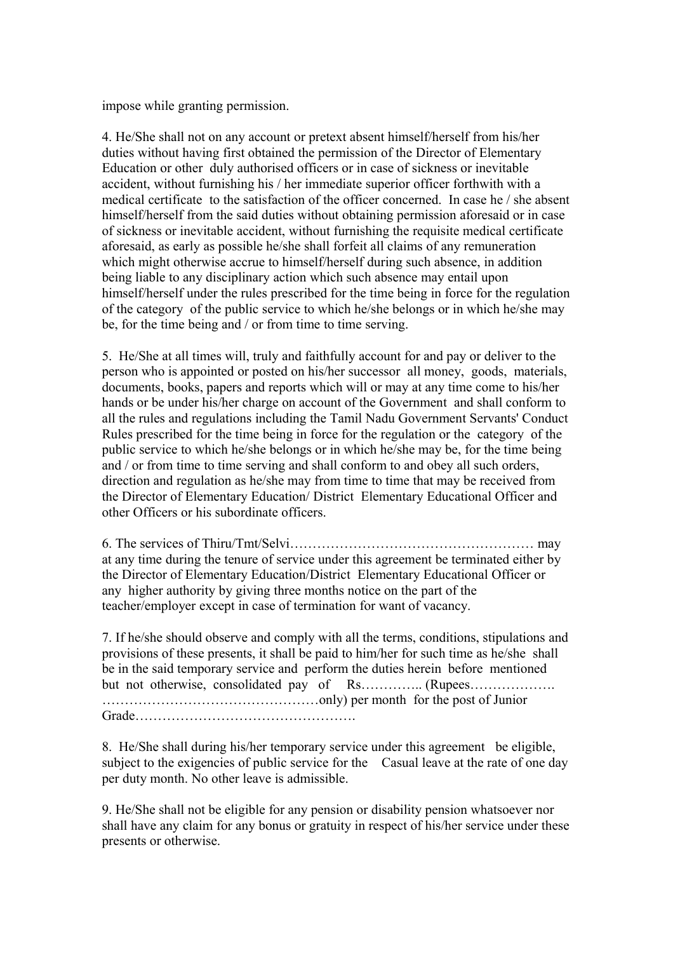impose while granting permission.

4. He/She shall not on any account or pretext absent himself/herself from his/her duties without having first obtained the permission of the Director of Elementary Education or other duly authorised officers or in case of sickness or inevitable accident, without furnishing his / her immediate superior officer forthwith with a medical certificate to the satisfaction of the officer concerned. In case he / she absent himself/herself from the said duties without obtaining permission aforesaid or in case of sickness or inevitable accident, without furnishing the requisite medical certificate aforesaid, as early as possible he/she shall forfeit all claims of any remuneration which might otherwise accrue to himself/herself during such absence, in addition being liable to any disciplinary action which such absence may entail upon himself/herself under the rules prescribed for the time being in force for the regulation of the category of the public service to which he/she belongs or in which he/she may be, for the time being and / or from time to time serving.

5. He/She at all times will, truly and faithfully account for and pay or deliver to the person who is appointed or posted on his/her successor all money, goods, materials, documents, books, papers and reports which will or may at any time come to his/her hands or be under his/her charge on account of the Government and shall conform to all the rules and regulations including the Tamil Nadu Government Servants' Conduct Rules prescribed for the time being in force for the regulation or the category of the public service to which he/she belongs or in which he/she may be, for the time being and / or from time to time serving and shall conform to and obey all such orders, direction and regulation as he/she may from time to time that may be received from the Director of Elementary Education/ District Elementary Educational Officer and other Officers or his subordinate officers.

6. The services of Thiru/Tmt/Selvi……………………………………………… may at any time during the tenure of service under this agreement be terminated either by the Director of Elementary Education/District Elementary Educational Officer or any higher authority by giving three months notice on the part of the teacher/employer except in case of termination for want of vacancy.

7. If he/she should observe and comply with all the terms, conditions, stipulations and provisions of these presents, it shall be paid to him/her for such time as he/she shall be in the said temporary service and perform the duties herein before mentioned but not otherwise, consolidated pay of Rs………….. (Rupees………………. …………………………………………only) per month for the post of Junior Grade………………………………………….

8. He/She shall during his/her temporary service under this agreement be eligible, subject to the exigencies of public service for the Casual leave at the rate of one day per duty month. No other leave is admissible.

9. He/She shall not be eligible for any pension or disability pension whatsoever nor shall have any claim for any bonus or gratuity in respect of his/her service under these presents or otherwise.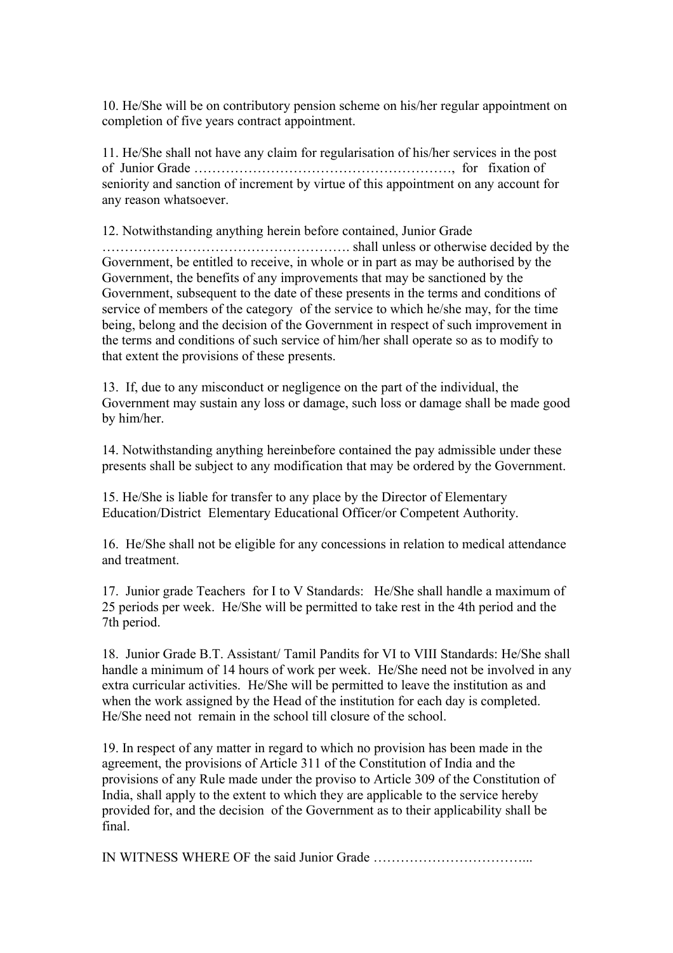10. He/She will be on contributory pension scheme on his/her regular appointment on completion of five years contract appointment.

11. He/She shall not have any claim for regularisation of his/her services in the post of Junior Grade …………………………………………………, for fixation of seniority and sanction of increment by virtue of this appointment on any account for any reason whatsoever.

12. Notwithstanding anything herein before contained, Junior Grade

………………………………………………. shall unless or otherwise decided by the Government, be entitled to receive, in whole or in part as may be authorised by the Government, the benefits of any improvements that may be sanctioned by the Government, subsequent to the date of these presents in the terms and conditions of service of members of the category of the service to which he/she may, for the time being, belong and the decision of the Government in respect of such improvement in the terms and conditions of such service of him/her shall operate so as to modify to that extent the provisions of these presents.

13. If, due to any misconduct or negligence on the part of the individual, the Government may sustain any loss or damage, such loss or damage shall be made good by him/her.

14. Notwithstanding anything hereinbefore contained the pay admissible under these presents shall be subject to any modification that may be ordered by the Government.

15. He/She is liable for transfer to any place by the Director of Elementary Education/District Elementary Educational Officer/or Competent Authority.

16. He/She shall not be eligible for any concessions in relation to medical attendance and treatment.

17. Junior grade Teachers for I to V Standards: He/She shall handle a maximum of 25 periods per week. He/She will be permitted to take rest in the 4th period and the 7th period.

18. Junior Grade B.T. Assistant/ Tamil Pandits for VI to VIII Standards: He/She shall handle a minimum of 14 hours of work per week. He/She need not be involved in any extra curricular activities. He/She will be permitted to leave the institution as and when the work assigned by the Head of the institution for each day is completed. He/She need not remain in the school till closure of the school.

19. In respect of any matter in regard to which no provision has been made in the agreement, the provisions of Article 311 of the Constitution of India and the provisions of any Rule made under the proviso to Article 309 of the Constitution of India, shall apply to the extent to which they are applicable to the service hereby provided for, and the decision of the Government as to their applicability shall be final.

IN WITNESS WHERE OF the said Junior Grade ……………………………...